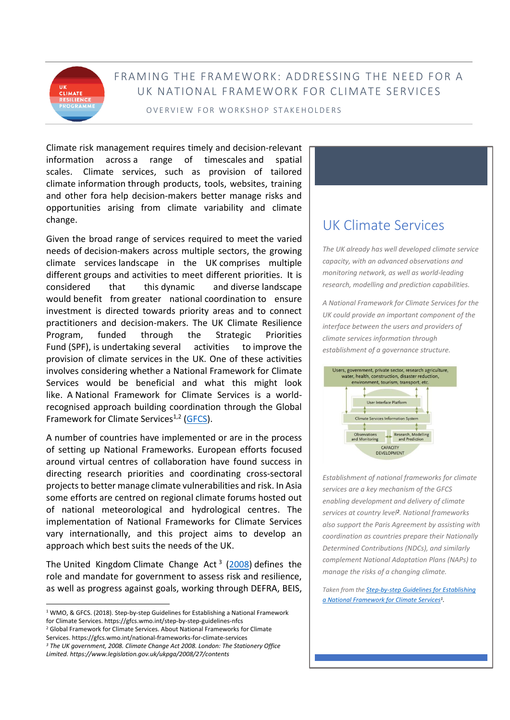## FRAMING THE FRAMEWORK: ADDRESSING THE NEED FOR A UK NATIONAL FRAMEWORK FOR CLIMATE SERVICES

#### OVERVIEW FOR WORKSHOP STAKEHOLDERS

Climate risk management requires timely and decision-relevant information across a range of timescales and spatial scales. Climate services, such as provision of tailored climate information through products, tools, websites, training and other fora help decision-makers better manage risks and opportunities arising from climate variability and climate change.

Given the broad range of services required to meet the varied needs of decision-makers across multiple sectors, the growing climate services landscape in the UK comprises multiple different groups and activities to meet different priorities. It is considered that this dynamic and diverse landscape would benefit from greater national coordination to ensure investment is directed towards priority areas and to connect practitioners and decision-makers. The UK Climate Resilience Program, funded through the Strategic Priorities Fund (SPF), is undertaking several activities to improve the provision of climate services in the UK. One of these activities involves considering whether a National Framework for Climate Services would be beneficial and what this might look like. A National Framework for Climate Services is a worldrecognised approach building coordination through the Global Framework for Climate Services<sup>1,2</sup> [\(GFCS\)](https://gfcs.wmo.int/step-by-step-guidelines-nfcs).

A number of countries have implemented or are in the process of setting up National Frameworks. European efforts focused around virtual centres of collaboration have found success in directing research priorities and coordinating cross-sectoral projects to better manage climate vulnerabilities and risk. In Asia some efforts are centred on regional climate forums hosted out of national meteorological and hydrological centres. The implementation of National Frameworks for Climate Services vary internationally, and this project aims to develop an approach which best suits the needs of the UK.

The United Kingdom Climate Change Act<sup>3</sup> [\(2008\)](https://www.legislation.gov.uk/ukpga/2008/27/contents) defines the role and mandate for government to assess risk and resilience, as well as progress against goals, working through DEFRA, BEIS,

Services. https://gfcs.wmo.int/national-frameworks-for-climate-services *<sup>3</sup> The UK government, 2008. Climate Change Act 2008. London: The Stationery Office* 

*Limited. https://www.legislation.gov.uk/ukpga/2008/27/contents*

# UK Climate Services

*The UK already has well developed climate service capacity, with an advanced observations and monitoring network, as well as world-leading research, modelling and prediction capabilities.* 

*A National Framework for Climate Services for the UK could provide an important component of the interface between the users and providers of climate services information through establishment of a governance structure.*



*Establishment of national frameworks for climate services are a key mechanism of the GFCS enabling development and delivery of climate services at country level<sup>2</sup> . National frameworks also support the Paris Agreement by assisting with coordination as countries prepare their Nationally Determined Contributions (NDCs), and similarly complement National Adaptation Plans (NAPs) to manage the risks of a changing climate.*

*Taken from the [Step-by-step Guidelines for Establishing](https://library.wmo.int/doc_num.php?explnum_id=4335)  [a National Framework for Climate Services](https://library.wmo.int/doc_num.php?explnum_id=4335)<sup>1</sup> .*

<sup>1</sup> WMO, & GFCS. (2018). Step-by-step Guidelines for Establishing a National Framework for Climate Services. https://gfcs.wmo.int/step-by-step-guidelines-nfcs <sup>2</sup> Global Framework for Climate Services. About National Frameworks for Climate